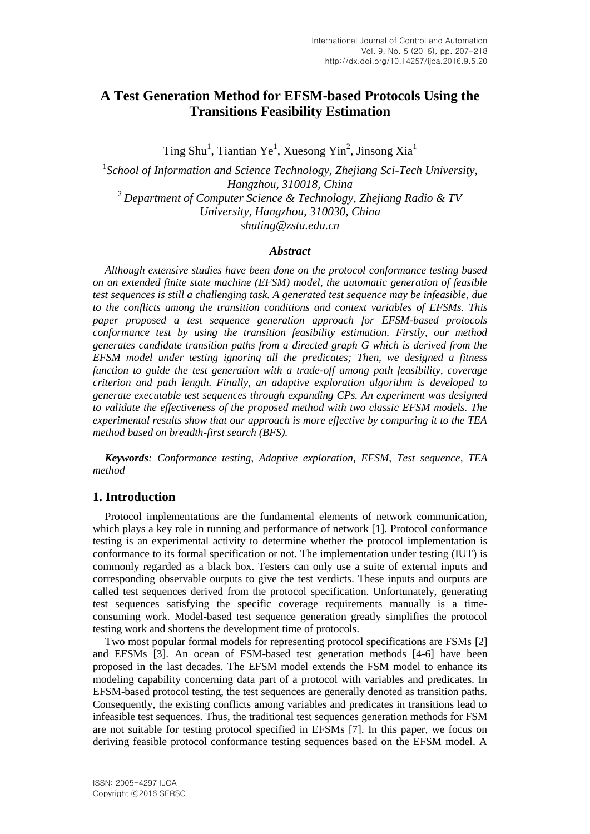# **A Test Generation Method for EFSM-based Protocols Using the Transitions Feasibility Estimation**

Ting Shu<sup>1</sup>, Tiantian Ye<sup>1</sup>, Xuesong Yin<sup>2</sup>, Jinsong Xia<sup>1</sup>

<sup>1</sup> School of Information and Science Technology, Zhejiang Sci-Tech University, *Hangzhou, 310018, China* <sup>2</sup> *Department of Computer Science & Technology, Zhejiang Radio & TV University, Hangzhou, 310030, China shuting@zstu.edu.cn* 

#### *Abstract*

*Although extensive studies have been done on the protocol conformance testing based on an extended finite state machine (EFSM) model, the automatic generation of feasible test sequences is still a challenging task. A generated test sequence may be infeasible, due to the conflicts among the transition conditions and context variables of EFSMs. This paper proposed a test sequence generation approach for EFSM-based protocols conformance test by using the transition feasibility estimation. Firstly, our method generates candidate transition paths from a directed graph G which is derived from the EFSM model under testing ignoring all the predicates; Then, we designed a fitness function to guide the test generation with a trade-off among path feasibility, coverage criterion and path length. Finally, an adaptive exploration algorithm is developed to generate executable test sequences through expanding CPs. An experiment was designed to validate the effectiveness of the proposed method with two classic EFSM models. The experimental results show that our approach is more effective by comparing it to the TEA method based on breadth-first search (BFS).*

*Keywords: Conformance testing, Adaptive exploration, EFSM, Test sequence, TEA method*

### **1. Introduction**

Protocol implementations are the fundamental elements of network communication, which plays a key role in running and performance of network [1]. Protocol conformance testing is an experimental activity to determine whether the protocol implementation is conformance to its formal specification or not. The implementation under testing (IUT) is commonly regarded as a black box. Testers can only use a suite of external inputs and corresponding observable outputs to give the test verdicts. These inputs and outputs are called test sequences derived from the protocol specification. Unfortunately, generating test sequences satisfying the specific coverage requirements manually is a timeconsuming work. Model-based test sequence generation greatly simplifies the protocol testing work and shortens the development time of protocols.

Two most popular formal models for representing protocol specifications are FSMs [2] and EFSMs [3]. An ocean of FSM-based test generation methods [4-6] have been proposed in the last decades. The EFSM model extends the FSM model to enhance its modeling capability concerning data part of a protocol with variables and predicates. In EFSM-based protocol testing, the test sequences are generally denoted as transition paths. Consequently, the existing conflicts among variables and predicates in transitions lead to infeasible test sequences. Thus, the traditional test sequences generation methods for FSM are not suitable for testing protocol specified in EFSMs [7]. In this paper, we focus on deriving feasible protocol conformance testing sequences based on the EFSM model. A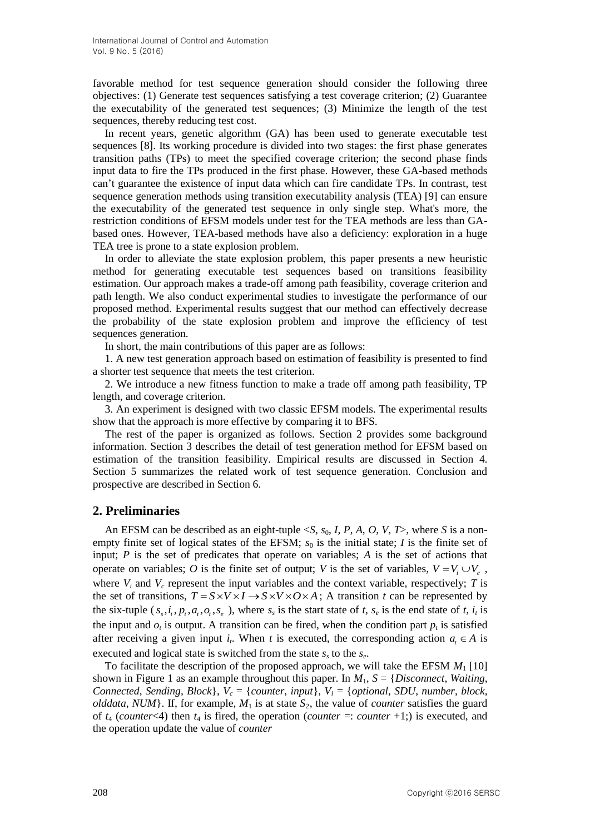favorable method for test sequence generation should consider the following three objectives: (1) Generate test sequences satisfying a test coverage criterion; (2) Guarantee the executability of the generated test sequences; (3) Minimize the length of the test sequences, thereby reducing test cost.

In recent years, genetic algorithm (GA) has been used to generate executable test sequences [8]. Its working procedure is divided into two stages: the first phase generates transition paths (TPs) to meet the specified coverage criterion; the second phase finds input data to fire the TPs produced in the first phase. However, these GA-based methods can't guarantee the existence of input data which can fire candidate TPs. In contrast, test sequence generation methods using transition executability analysis (TEA) [9] can ensure the executability of the generated test sequence in only single step. What's more, the restriction conditions of EFSM models under test for the TEA methods are less than GAbased ones. However, TEA-based methods have also a deficiency: exploration in a huge TEA tree is prone to a state explosion problem.

In order to alleviate the state explosion problem, this paper presents a new heuristic method for generating executable test sequences based on transitions feasibility estimation. Our approach makes a trade-off among path feasibility, coverage criterion and path length. We also conduct experimental studies to investigate the performance of our proposed method. Experimental results suggest that our method can effectively decrease the probability of the state explosion problem and improve the efficiency of test sequences generation.

In short, the main contributions of this paper are as follows:

1. A new test generation approach based on estimation of feasibility is presented to find a shorter test sequence that meets the test criterion.

2. We introduce a new fitness function to make a trade off among path feasibility, TP length, and coverage criterion.

3. An experiment is designed with two classic EFSM models. The experimental results show that the approach is more effective by comparing it to BFS.

The rest of the paper is organized as follows. Section 2 provides some background information. Section 3 describes the detail of test generation method for EFSM based on estimation of the transition feasibility. Empirical results are discussed in Section 4. Section 5 summarizes the related work of test sequence generation. Conclusion and prospective are described in Section 6.

### **2. Preliminaries**

An EFSM can be described as an eight-tuple <*S*, *s*0, *I*, *P*, *A*, *O*, *V*, *T*>, where *S* is a nonempty finite set of logical states of the EFSM;  $s_0$  is the initial state; *I* is the finite set of input;  $P$  is the set of predicates that operate on variables;  $A$  is the set of actions that operate on variables; O is the finite set of output; V is the set of variables,  $V = V_i \cup V_c$ , where  $V_i$  and  $V_c$  represent the input variables and the context variable, respectively; *T* is where  $V_i$  and  $V_c$  represent the input variables and the context variable, respectively; *I* is the set of transitions,  $T = S \times V \times I \rightarrow S \times V \times O \times A$ ; A transition *t* can be represented by the six-tuple  $(s_s, i_t, p_t, a_t, o_t, s_e)$ , where  $s_s$  is the start state of *t*,  $s_e$  is the end state of *t*,  $i_t$  is the input and  $o_t$  is output. A transition can be fired, when the condition part  $p_t$  is satisfied after receiving a given input  $i_t$ . When  $t$  is executed, the corresponding action  $a_t \in A$  is executed and logical state is switched from the state *s<sup>s</sup>* to the *s<sup>e</sup>* .

To facilitate the description of the proposed approach, we will take the EFSM  $M_1$  [10] shown in Figure 1 as an example throughout this paper. In  $M_1$ ,  $S = \{Discount, Waiting,$ *Connected*, *Sending*, *Block*},  $V_c = \{counter, input\}$ ,  $V_i = \{optional, SDU, number, block,$ *olddata*, *NUM*}. If, for example,  $M_1$  is at state  $S_2$ , the value of *counter* satisfies the guard of  $t_4$  (*counter*<4) then  $t_4$  is fired, the operation (*counter* =: *counter* +1;) is executed, and the operation update the value of *counter*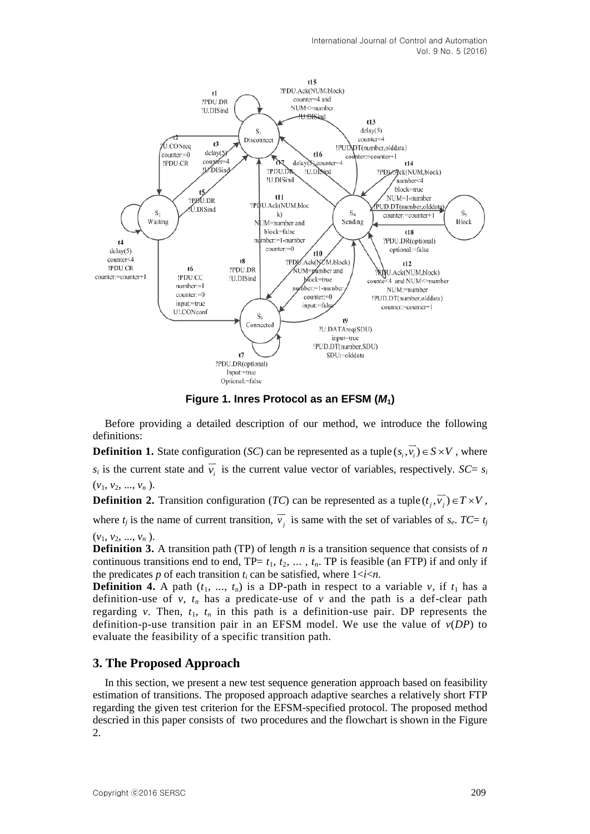

**Figure 1. Inres Protocol as an EFSM (***M***1)**

Before providing a detailed description of our method, we introduce the following definitions:

**Definition 1.** State configuration (*SC*) can be represented as a tuple  $(s_i, \overline{v_i}) \in S \times V$ , where  $s_i$  is the current state and  $\overline{v_i}$  is the current value vector of variables, respectively. *SC*=  $s_i$  $(v_1, v_2, ..., v_n)$ .

**Definition 2.** Transition configuration (*TC*) can be represented as a tuple  $(t_j, \overline{v_j}) \in T \times V$ ,

where  $t_j$  is the name of current transition,  $\overline{v_j}$  is same with the set of variables of  $s_e$ .  $TC = t_j$  $(v_1, v_2, ..., v_n)$ .

**Definition 3.** A transition path (TP) of length *n* is a transition sequence that consists of *n* continuous transitions end to end,  $TP = t_1, t_2, \ldots, t_n$ . TP is feasible (an FTP) if and only if the predicates  $p$  of each transition  $t_i$  can be satisfied, where  $1 < i < n$ .

**Definition 4.** A path  $(t_1, ..., t_n)$  is a DP-path in respect to a variable *v*, if  $t_1$  has a definition-use of  $v$ ,  $t_n$  has a predicate-use of  $v$  and the path is a def-clear path regarding *v*. Then,  $t_1$ ,  $t_n$  in this path is a definition-use pair. DP represents the definition-p-use transition pair in an EFSM model. We use the value of *v*(*DP*) to evaluate the feasibility of a specific transition path.

## **3. The Proposed Approach**

In this section, we present a new test sequence generation approach based on feasibility estimation of transitions. The proposed approach adaptive searches a relatively short FTP regarding the given test criterion for the EFSM-specified protocol. The proposed method descried in this paper consists of two procedures and the flowchart is shown in the Figure 2.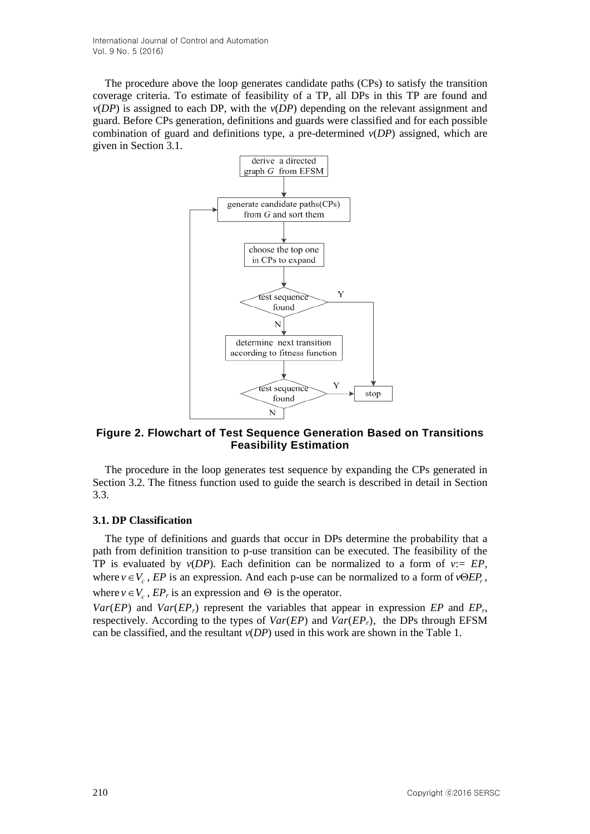International Journal of Control and Automation Vol. 9 No. 5 (2016)

The procedure above the loop generates candidate paths (CPs) to satisfy the transition coverage criteria. To estimate of feasibility of a TP, all DPs in this TP are found and  $v(DP)$  is assigned to each DP, with the  $v(DP)$  depending on the relevant assignment and guard. Before CPs generation, definitions and guards were classified and for each possible combination of guard and definitions type, a pre-determined *v*(*DP*) assigned, which are given in Section 3.1.



#### **Figure 2. Flowchart of Test Sequence Generation Based on Transitions Feasibility Estimation**

The procedure in the loop generates test sequence by expanding the CPs generated in Section 3.2. The fitness function used to guide the search is described in detail in Section 3.3.

#### **3.1. DP Classification**

The type of definitions and guards that occur in DPs determine the probability that a path from definition transition to p-use transition can be executed. The feasibility of the TP is evaluated by  $v(DP)$ . Each definition can be normalized to a form of  $v:= EP$ , where  $v \in V_c$ , *EP* is an expression. And each p-use can be normalized to a form of  $v \Theta E P_r$ , where  $v \in V_c$ ,  $EP_r$  is an expression and  $\Theta$  is the operator.

*Var*(*EP*) and *Var*(*EPr*) represent the variables that appear in expression *EP* and *EP<sup>r</sup>* , respectively. According to the types of *Var*(*EP*) and *Var*(*EPr*), the DPs through EFSM can be classified, and the resultant *v*(*DP*) used in this work are shown in the Table 1.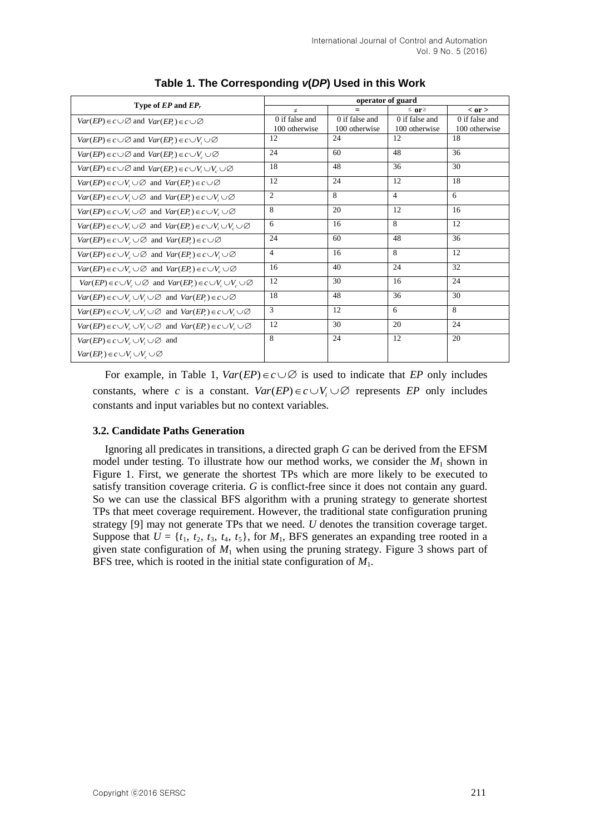|                                                                                                    | operator of guard |                |                  |                |  |
|----------------------------------------------------------------------------------------------------|-------------------|----------------|------------------|----------------|--|
| Type of $EP$ and $EP_r$                                                                            | $\neq$            |                | $\leq$ or $\geq$ | $<$ or $>$     |  |
| $Var(EP) \in c \cup \emptyset$ and $Var(EP) \in c \cup \emptyset$                                  | 0 if false and    | 0 if false and | 0 if false and   | 0 if false and |  |
|                                                                                                    | 100 otherwise     | 100 otherwise  | 100 otherwise    | 100 otherwise  |  |
| $Var(EP) \in c \cup \emptyset$ and $Var(EP_r) \in c \cup V_i \cup \emptyset$                       | 12                | 24             | 12               | 18             |  |
| $Var(EP) \in c \cup \emptyset$ and $Var(EP) \in c \cup V$ , $\cup \emptyset$                       | 24                | 60             | 48               | 36             |  |
| $Var(EP) \in c \cup \emptyset$ and $Var(EP_r) \in c \cup V_i \cup V_c \cup \emptyset$              | 18                | 48             | 36               | 30             |  |
| $Var(EP) \in c \cup V_i \cup \emptyset$ and $Var(EP) \in c \cup \emptyset$                         | 12                | 24             | 12               | 18             |  |
| $Var(EP) \in c \cup V_i \cup \emptyset$ and $Var(EP_i) \in c \cup V_i \cup \emptyset$              | $\overline{c}$    | 8              | $\overline{4}$   | 6              |  |
| $Var(EP) \in c \cup V_i \cup \emptyset$ and $Var(EP) \in c \cup V_i \cup \emptyset$                | 8                 | 20             | 12               | 16             |  |
| $Var(EP) \in c \cup V_i \cup \emptyset$ and $Var(EP_r) \in c \cup V_i \cup V_c \cup \emptyset$     | 6                 | 16             | 8                | 12             |  |
| $Var(EP) \in c \cup V$ , $\cup \emptyset$ and $Var(EP) \in c \cup \emptyset$                       | 24                | 60             | 48               | 36             |  |
| $Var(EP) \in c \cup V_c \cup \emptyset$ and $Var(EP_r) \in c \cup V_c \cup \emptyset$              | $\overline{4}$    | 16             | 8                | 12             |  |
| $Var(EP) \in c \cup V$ $\cup \emptyset$ and $Var(EP) \in c \cup V$ $\cup \emptyset$                | 16                | 40             | 24               | 32             |  |
| $Var(EP) \in c \cup V_c \cup \emptyset$ and $Var(EP_c) \in c \cup V_c \cup V_c \cup \emptyset$     | 12                | 30             | 16               | 24             |  |
| $Var(EP) \in c \cup V_c \cup V_i \cup \emptyset$ and $Var(EP_c) \in c \cup \emptyset$              | 18                | 48             | 36               | 30             |  |
| $Var(EP) \in c \cup V_c \cup V_i \cup \emptyset$ and $Var(EP_c) \in c \cup V_i \cup \emptyset$     | 3                 | 12             | 6                | 8              |  |
| $Var(EP) \in c \cup V$ , $\cup V$ , $\cup \emptyset$ and $Var(EP) \in c \cup V$ , $\cup \emptyset$ | 12                | 30             | 20               | 24             |  |
| $Var(EP) \in c \cup V \cup V \cup \emptyset$ and                                                   | 8                 | 24             | 12               | 20             |  |
| $Var(EP_r) \in c \cup V_i \cup V_{\sim} \cup \varnothing$                                          |                   |                |                  |                |  |

**Table 1. The Corresponding** *v***(***DP***) Used in this Work**

For example, in Table 1,  $Var(EP) \in c \cup \emptyset$  is used to indicate that *EP* only includes constants, where *c* is a constant.  $Var(EP) \in c \cup V_i \cup \emptyset$  represents *EP* only includes constants and input variables but no context variables.

### **3.2. Candidate Paths Generation**

Ignoring all predicates in transitions, a directed graph *G* can be derived from the EFSM model under testing. To illustrate how our method works, we consider the *M*<sup>1</sup> shown in Figure 1. First, we generate the shortest TPs which are more likely to be executed to satisfy transition coverage criteria. *G* is conflict-free since it does not contain any guard. So we can use the classical BFS algorithm with a pruning strategy to generate shortest TPs that meet coverage requirement. However, the traditional state configuration pruning strategy [9] may not generate TPs that we need. *U* denotes the transition coverage target. Suppose that  $U = \{t_1, t_2, t_3, t_4, t_5\}$ , for  $M_1$ , BFS generates an expanding tree rooted in a given state configuration of  $M_1$  when using the pruning strategy. Figure 3 shows part of BFS tree, which is rooted in the initial state configuration of *M*1.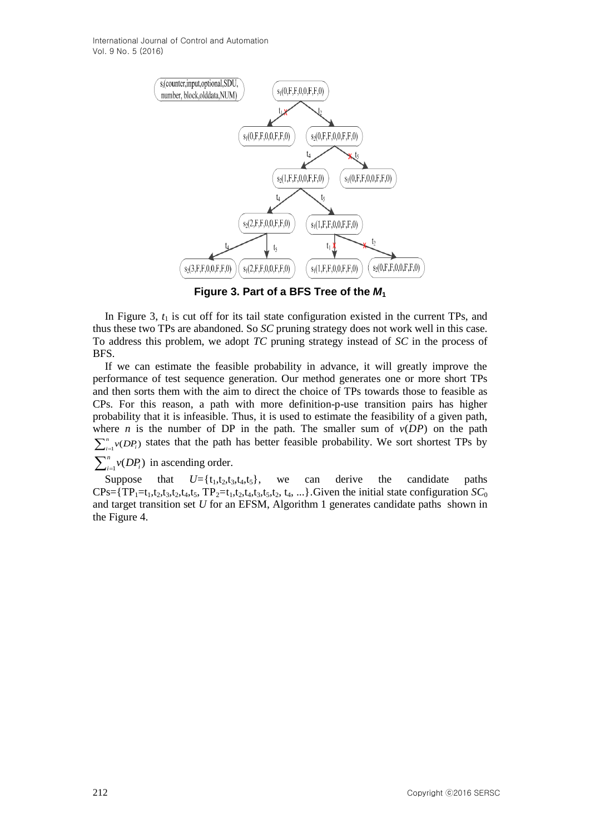International Journal of Control and Automation Vol. 9 No. 5 (2016)



**Figure 3. Part of a BFS Tree of the** *M***<sup>1</sup>**

In Figure 3,  $t_1$  is cut off for its tail state configuration existed in the current TPs, and thus these two TPs are abandoned. So *SC* pruning strategy does not work well in this case. To address this problem, we adopt *TC* pruning strategy instead of *SC* in the process of BFS.

If we can estimate the feasible probability in advance, it will greatly improve the performance of test sequence generation. Our method generates one or more short TPs and then sorts them with the aim to direct the choice of TPs towards those to feasible as CPs. For this reason, a path with more definition-p-use transition pairs has higher probability that it is infeasible. Thus, it is used to estimate the feasibility of a given path, where *n* is the number of DP in the path. The smaller sum of  $v(DP)$  on the path  $\sum_{i=1}^{n} v(DP_i)$  states that the path has better feasible probability. We sort shortest TPs by

 $\sum_{i=1}^n v(DP_i)$  $\int_{i=1}^{n} v(DP_i)$  in ascending order.

Suppose that  $U = \{t_1, t_2, t_3, t_4, t_5\}$ , we can derive the candidate paths  $CPs = {TP_1=t_1,t_2,t_3,t_2,t_4,t_5, TP_2=t_1,t_2,t_4,t_3,t_5,t_2, t_4, ...}$ . Given the initial state configuration  $SC_0$ and target transition set *U* for an EFSM, Algorithm 1 generates candidate paths shown in the Figure 4.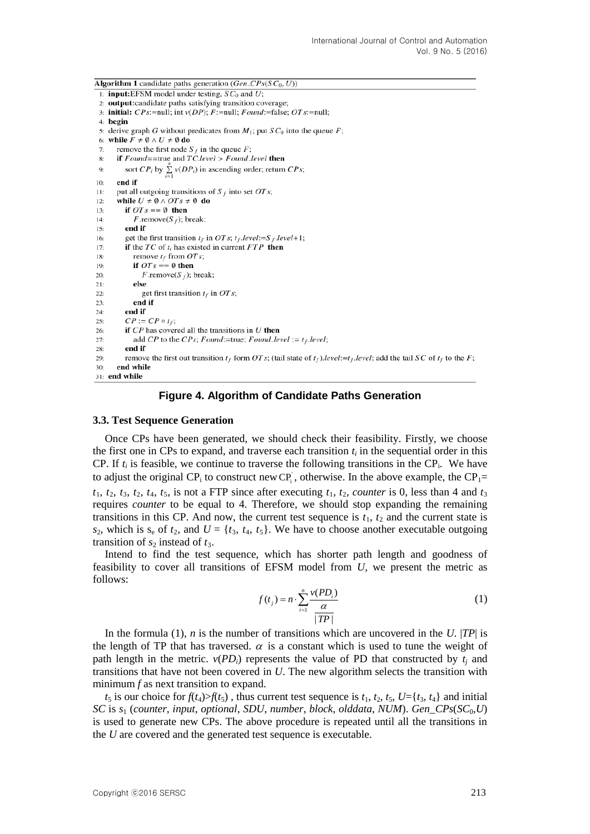**Algorithm 1** candidate paths generation ( $Gen\_CPs(SC_0, U)$ ) 1: **input:**EFSM model under testing,  $SC_0$  and U; 2: output:candidate paths satisfying transition coverage; 3: **initial:**  $CPs$ :=null; int  $v(DP)$ ;  $F$ :=null;  $Found$ :=false;  $OTs$ :=null; 4: begin 5: derive graph G without predicates from  $M_1$ ; put  $SC_0$  into the queue F; 6: while  $F \neq \emptyset \wedge U \neq \emptyset$  do remove the first node  $S_f$  in the queue F:  $7.$ if  $Found = true$  and  $TC. level > Found\_level$  then  $8:$ sort  $CP_i$  by  $\sum y(DP_i)$  in ascending order; return  $CPs$ ;  $\overline{9}$ end if  $10<sub>1</sub>$ put all outgoing transitions of  $S_f$  into set OT s;  $11:$ while  $U \neq \emptyset \land OTs \neq \emptyset$  do  $12:$  $13:$ if  $OTs == \emptyset$  then *F*.remove( $S_f$ ); break;  $14:$ end if  $15:$ get the first transition  $t_f$  in OT s;  $t_f$  level:=S  $_f$  level+1;  $16<sub>2</sub>$ if the  $TC$  of  $t_i$  has existed in current  $FTP$  then  $17:$ remove  $t_f$  from  $OTs$ ; 18: if  $OTs == \emptyset$  then  $19<sup>°</sup>$  $F$ .remove $(S_f)$ ; break;  $20:$  $21:$ else get first transition  $t_f$  in OT s;  $22$ end if  $23:$ end if  $24$  $CP := CP \circ t_f;$  $25$ if  $CP$  has covered all the transitions in  $U$  then  $26:$  $27:$ add CP to the CPs; Found:=true; Found\_level :=  $t_f$ .level;  $28$ end if remove the first out transition  $t_f$  form OT s; (tail state of  $t_f$ ).level:  $=t_f$ .level; add the tail SC of  $t_f$  to the F;  $29:$ end while  $30:$ 31: end while

#### **Figure 4. Algorithm of Candidate Paths Generation**

#### **3.3. Test Sequence Generation**

Once CPs have been generated, we should check their feasibility. Firstly, we choose the first one in CPs to expand, and traverse each transition  $t_i$  in the sequential order in this CP. If  $t_i$  is feasible, we continue to traverse the following transitions in the CP<sub>i</sub>. We have to adjust the original CP<sub>i</sub> to construct new CP<sub>i</sub>, otherwise. In the above example, the CP<sub>1</sub>=  $t_1$ ,  $t_2$ ,  $t_3$ ,  $t_2$ ,  $t_4$ ,  $t_5$ , is not a FTP since after executing  $t_1$ ,  $t_2$ , *counter* is 0, less than 4 and  $t_3$ requires *counter* to be equal to 4. Therefore, we should stop expanding the remaining transitions in this CP. And now, the current test sequence is  $t_1$ ,  $t_2$  and the current state is  $s_2$ , which is  $s_e$  of  $t_2$ , and  $U = \{t_3, t_4, t_5\}$ . We have to choose another executable outgoing transition of  $s_2$  instead of  $t_3$ .

Intend to find the test sequence, which has shorter path length and goodness of feasibility to cover all transitions of EFSM model from *U*, we present the metric as follows:

$$
f(t_j) = n \cdot \sum_{i=1}^{n} \frac{\nu(PD_i)}{\alpha} \tag{1}
$$

In the formula (1), *n* is the number of transitions which are uncovered in the *U*. |*TP*| is the length of TP that has traversed.  $\alpha$  is a constant which is used to tune the weight of path length in the metric.  $v(PD_i)$  represents the value of PD that constructed by  $t_i$  and transitions that have not been covered in *U*. The new algorithm selects the transition with minimum *f* as next transition to expand.

 $t_5$  is our choice for  $f(t_4) > f(t_5)$ , thus current test sequence is  $t_1, t_2, t_5, U = \{t_3, t_4\}$  and initial *SC* is *s*<sup>1</sup> (*counter*, *input*, *optional*, *SDU*, *number*, *block*, *olddata*, *NUM*). *Gen\_CPs*(*SC*0,*U*) is used to generate new CPs. The above procedure is repeated until all the transitions in the *U* are covered and the generated test sequence is executable.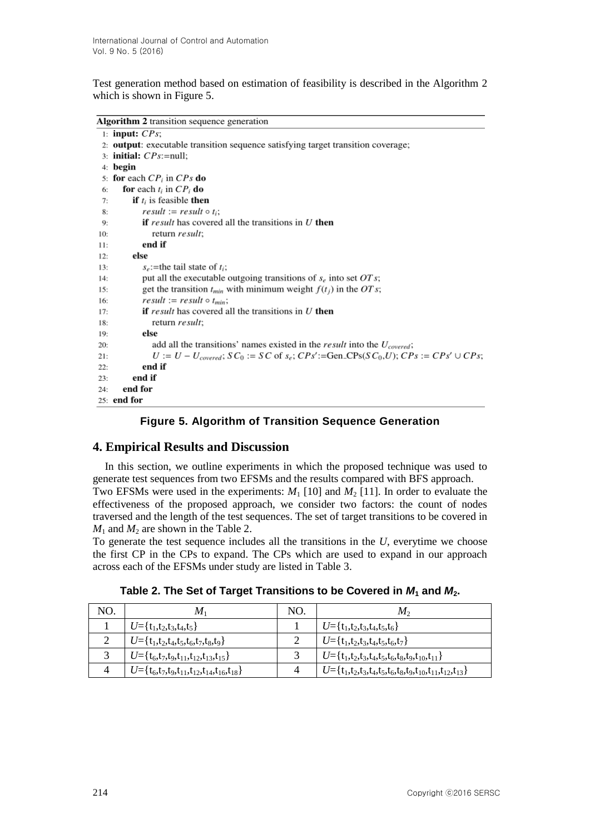Test generation method based on estimation of feasibility is described in the Algorithm 2 which is shown in Figure 5.

Algorithm 2 transition sequence generation

```
1: input: CPs:
 2: output: executable transition sequence satisfying target transition coverage;
 3: initial: CPs:=null:
4: begin
 5: for each CP_i in CP_s do
      for each t_i in CP_i do
 6:
 7:if t_i is feasible then
            result := result \circ t_i;8:
9:
            if result has covered all the transitions in U then
               return result;
10:end if
11:else
12:s_e:=the tail state of t<sub>i</sub>:
13:put all the executable outgoing transitions of s_e into set OTs;
14:get the transition t_{min} with minimum weight f(t_i) in the OT s;
15:result := result \circ t_{min};16:17<sup>1</sup>if result has covered all the transitions in U then
18<sup>1</sup>return result:
19.else
20<sub>1</sub>add all the transitions' names existed in the result into the U_{covered};
21.U := U - U_{covered}; SC_0 := SC of s_e; CPs':=Gen_CPs(SC_0, U); CPs := CPs' \cup CPs;
22.end if
23.end if
24.end for
25: end for
```
## **Figure 5. Algorithm of Transition Sequence Generation**

## **4. Empirical Results and Discussion**

In this section, we outline experiments in which the proposed technique was used to generate test sequences from two EFSMs and the results compared with BFS approach. Two EFSMs were used in the experiments:  $M_1$  [10] and  $M_2$  [11]. In order to evaluate the effectiveness of the proposed approach, we consider two factors: the count of nodes traversed and the length of the test sequences. The set of target transitions to be covered in  $M_1$  and  $M_2$  are shown in the Table 2.

To generate the test sequence includes all the transitions in the *U*, everytime we choose the first CP in the CPs to expand. The CPs which are used to expand in our approach across each of the EFSMs under study are listed in Table 3.

| NO.          | $M_1$                                                         | NO. | $M_{2}$                                                             |
|--------------|---------------------------------------------------------------|-----|---------------------------------------------------------------------|
|              | $U = {t_1,t_2,t_3,t_4,t_5}$                                   |     | $U = {t_1,t_2,t_3,t_4,t_5,t_6}$                                     |
| $\gamma$     | $U = {t_1,t_2,t_4,t_5,t_6,t_7,t_8,t_9}$                       | っ   | $U = {t_1,t_2,t_3,t_4,t_5,t_6,t_7}$                                 |
| $\mathbf{z}$ | $U = {t_6, t_7, t_9, t_{11}, t_{12}, t_{13}, t_{15}}$         | 2   | $U = {t_1,t_2,t_3,t_4,t_5,t_6,t_8,t_9,t_{10},t_{11}}$               |
| 4            | $U = {t_6, t_7, t_9, t_{11}, t_{12}, t_{14}, t_{16}, t_{18}}$ | 4   | $U = {t_1,t_2,t_3,t_4,t_5,t_6,t_8,t_9,t_{10},t_{11},t_{12},t_{13}}$ |

**Table 2. The Set of Target Transitions to be Covered in** *M***<sup>1</sup> and** *M***2.**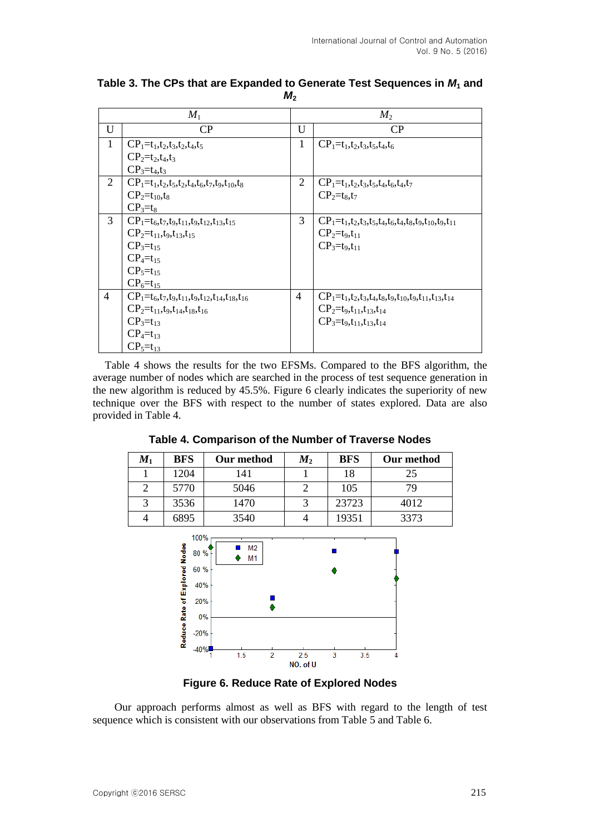|                | $M_1$                                                               |                | $M_2$                                                                      |
|----------------|---------------------------------------------------------------------|----------------|----------------------------------------------------------------------------|
| U              | CP                                                                  | U              | CP                                                                         |
| 1              | $CP_1 = t_1, t_2, t_3, t_2, t_4, t_5$                               | 1              | $CP_1 = t_1, t_2, t_3, t_5, t_4, t_6$                                      |
|                | $CP_2 = t_2, t_4, t_3$                                              |                |                                                                            |
|                | $CP_3 = t_4, t_3$                                                   |                |                                                                            |
| 2              | $CP_1=t_1,t_2,t_5,t_2,t_4,t_6,t_7,t_9,t_{10},t_8$                   | 2              | $CP_1 = t_1, t_2, t_3, t_5, t_4, t_6, t_4, t_7$                            |
|                | $CP_2 = t_{10}, t_8$                                                |                | $CP_2 = t_8, t_7$                                                          |
|                | $CP_3=t_8$                                                          |                |                                                                            |
| $\overline{3}$ | $CP_1 = t_6, t_7, t_9, t_{11}, t_9, t_{12}, t_{13}, t_{15}$         | 3              | $CP_1 = t_1, t_2, t_3, t_5, t_4, t_6, t_4, t_8, t_9, t_{10}, t_9, t_{11}$  |
|                | $CP_2 = t_{11}, t_9, t_{13}, t_{15}$                                |                | $CP_2 = t_9, t_{11}$                                                       |
|                | $CP_3 = t_{15}$                                                     |                | $CP_3 = t_9, t_{11}$                                                       |
|                | $CP_4 = t_{15}$                                                     |                |                                                                            |
|                | $CP_5 = t_{15}$                                                     |                |                                                                            |
|                | $CP_6 = t_{15}$                                                     |                |                                                                            |
| $\overline{4}$ | $CP_1 = t_6, t_7, t_9, t_{11}, t_9, t_{12}, t_{14}, t_{18}, t_{16}$ | $\overline{4}$ | $CP_1 = t_1, t_2, t_3, t_4, t_8, t_9, t_{10}, t_9, t_{11}, t_{13}, t_{14}$ |
|                | $CP_2 = t_{11}, t_9, t_{14}, t_{18}, t_{16}$                        |                | $CP_2 = t_9, t_{11}, t_{13}, t_{14}$                                       |
|                | $CP_3 = t_{13}$                                                     |                | $CP_3 = t_9, t_{11}, t_{13}, t_{14}$                                       |
|                | $CP_4 = t_{13}$                                                     |                |                                                                            |
|                | $CP_5 = t_{13}$                                                     |                |                                                                            |

**Table 3. The CPs that are Expanded to Generate Test Sequences in** *M***<sup>1</sup> and**   $M<sub>2</sub>$ 

Table 4 shows the results for the two EFSMs. Compared to the BFS algorithm, the average number of nodes which are searched in the process of test sequence generation in the new algorithm is reduced by 45.5%. Figure 6 clearly indicates the superiority of new technique over the BFS with respect to the number of states explored. Data are also provided in Table 4.

**Table 4. Comparison of the Number of Traverse Nodes**

| $M_1$ | <b>BFS</b> | Our method | $M_{2}$ | <b>BFS</b> | Our method |
|-------|------------|------------|---------|------------|------------|
|       | 1204       | 141        |         | 18         | 25         |
|       | 5770       | 5046       |         | 105        | 79         |
|       | 3536       | 1470       |         | 23723      | 4012       |
|       | 6895       | 3540       |         | 19351      | 3373       |



**Figure 6. Reduce Rate of Explored Nodes**

Our approach performs almost as well as BFS with regard to the length of test sequence which is consistent with our observations from Table 5 and Table 6.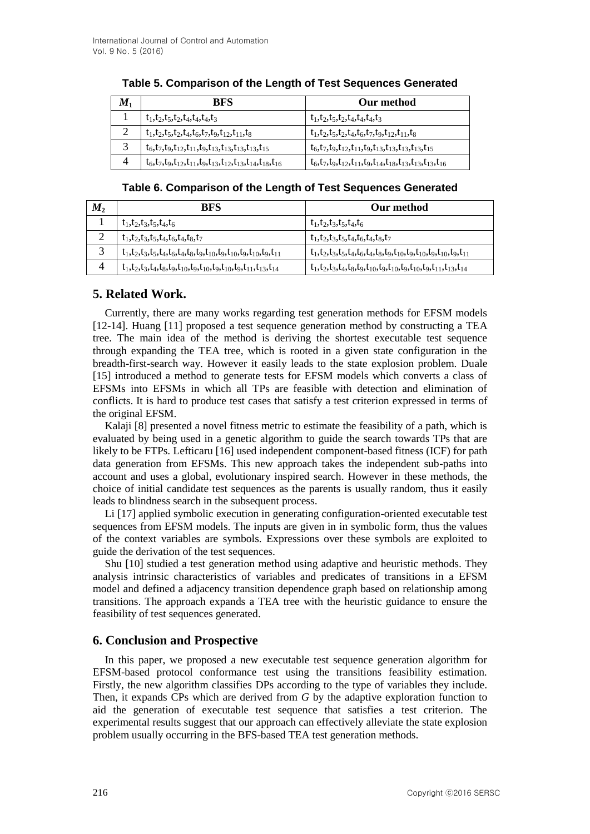| $M_1$ | <b>BFS</b>                                                                                                            | Our method                                                                           |
|-------|-----------------------------------------------------------------------------------------------------------------------|--------------------------------------------------------------------------------------|
|       | $t_1, t_2, t_5, t_2, t_4, t_4, t_4, t_3$                                                                              | $t_1, t_2, t_5, t_2, t_4, t_4, t_4, t_3$                                             |
| ി     | $t_1, t_2, t_5, t_2, t_4, t_6, t_7, t_9, t_{12}, t_{11}, t_8$                                                         | $t_1, t_2, t_5, t_2, t_4, t_6, t_7, t_9, t_{12}, t_{11}, t_8$                        |
| 2     | $t_6, t_7, t_9, t_{12}, t_{11}, t_9, t_{13}, t_{13}, t_{13}, t_{15}, t_{16}$                                          | $t_6, t_7, t_9, t_{12}, t_{11}, t_9, t_{13}, t_{13}, t_{13}, t_{15}$                 |
|       | $t_6$ , $t_7$ , $t_9$ , $t_{12}$ , $t_{11}$ , $t_9$ , $t_{13}$ , $t_{12}$ , $t_{13}$ , $t_{14}$ , $t_{18}$ , $t_{16}$ | $t_6, t_7, t_9, t_{12}, t_{11}, t_9, t_{14}, t_{18}, t_{13}, t_{13}, t_{13}, t_{16}$ |

## **Table 5. Comparison of the Length of Test Sequences Generated**

## **Table 6. Comparison of the Length of Test Sequences Generated**

| $M_{2}$ | <b>BFS</b>                                                                                   | Our method                                                                                    |
|---------|----------------------------------------------------------------------------------------------|-----------------------------------------------------------------------------------------------|
|         | $t_1, t_2, t_3, t_5, t_4, t_6$                                                               | $t_1, t_2, t_3, t_5, t_4, t_6$                                                                |
| ◠       | $t_1, t_2, t_3, t_5, t_4, t_6, t_4, t_8, t_7$                                                | $t_1, t_2, t_3, t_5, t_4, t_6, t_4, t_8, t_7$                                                 |
| $\sim$  | $t_1, t_2, t_3, t_5, t_4, t_6, t_4, t_8, t_9, t_{10}, t_9, t_{10}, t_9, t_{10}, t_9, t_{11}$ | $t_1, t_2, t_3, t_5, t_4, t_6, t_4, t_8, t_9, t_{10}, t_9, t_{10}, t_9, t_{10}, t_9, t_{11}$  |
| 4       | $t_1, t_2, t_3, t_4, t_8, t_9, t_{10}, t_9, t_{10}, t_{10}, t_{10}, t_{11}, t_{13}, t_{14}$  | $t_1, t_2, t_3, t_4, t_8, t_9, t_{10}, t_9, t_{10}, t_9, t_{10}, t_9, t_{11}, t_{13}, t_{14}$ |

# **5. Related Work.**

Currently, there are many works regarding test generation methods for EFSM models [12-14]. Huang [11] proposed a test sequence generation method by constructing a TEA tree. The main idea of the method is deriving the shortest executable test sequence through expanding the TEA tree, which is rooted in a given state configuration in the breadth-first-search way. However it easily leads to the state explosion problem. Duale [15] introduced a method to generate tests for EFSM models which converts a class of EFSMs into EFSMs in which all TPs are feasible with detection and elimination of conflicts. It is hard to produce test cases that satisfy a test criterion expressed in terms of the original EFSM.

Kalaji [8] presented a novel fitness metric to estimate the feasibility of a path, which is evaluated by being used in a genetic algorithm to guide the search towards TPs that are likely to be FTPs. Lefticaru [16] used independent component-based fitness (ICF) for path data generation from EFSMs. This new approach takes the independent sub-paths into account and uses a global, evolutionary inspired search. However in these methods, the choice of initial candidate test sequences as the parents is usually random, thus it easily leads to blindness search in the subsequent process.

Li [17] applied symbolic execution in generating configuration-oriented executable test sequences from EFSM models. The inputs are given in in symbolic form, thus the values of the context variables are symbols. Expressions over these symbols are exploited to guide the derivation of the test sequences.

Shu [10] studied a test generation method using adaptive and heuristic methods. They analysis intrinsic characteristics of variables and predicates of transitions in a EFSM model and defined a adjacency transition dependence graph based on relationship among transitions. The approach expands a TEA tree with the heuristic guidance to ensure the feasibility of test sequences generated.

# **6. Conclusion and Prospective**

In this paper, we proposed a new executable test sequence generation algorithm for EFSM-based protocol conformance test using the transitions feasibility estimation. Firstly, the new algorithm classifies DPs according to the type of variables they include. Then, it expands CPs which are derived from *G* by the adaptive exploration function to aid the generation of executable test sequence that satisfies a test criterion. The experimental results suggest that our approach can effectively alleviate the state explosion problem usually occurring in the BFS-based TEA test generation methods.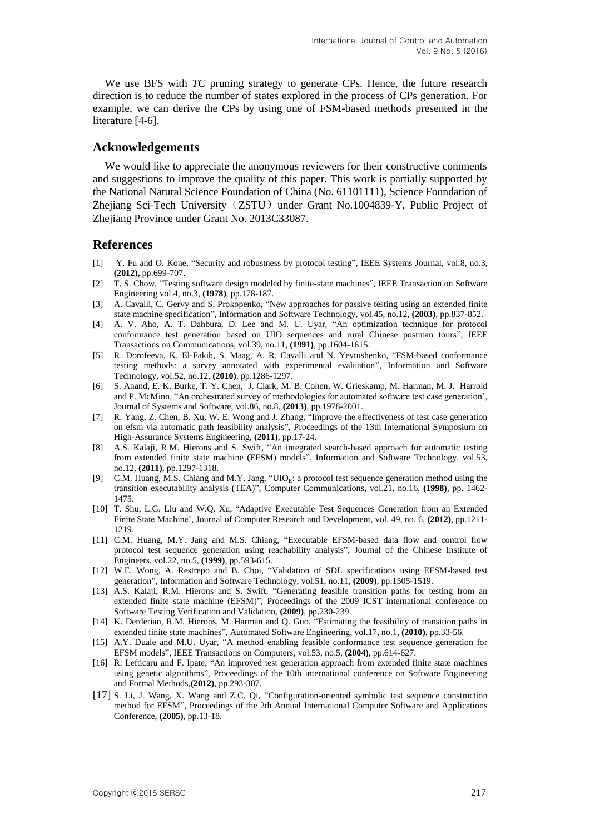We use BFS with *TC* pruning strategy to generate CPs. Hence, the future research direction is to reduce the number of states explored in the process of CPs generation. For example, we can derive the CPs by using one of FSM-based methods presented in the literature [4-6].

#### **Acknowledgements**

We would like to appreciate the anonymous reviewers for their constructive comments and suggestions to improve the quality of this paper. This work is partially supported by the National Natural Science Foundation of China (No. 61101111), Science Foundation of Zhejiang Sci-Tech University (ZSTU) under Grant No.1004839-Y, Public Project of Zhejiang Province under Grant No. 2013C33087.

### **References**

- [1] Y. Fu and O. Kone, "Security and robustness by protocol testing", IEEE Systems Journal, vol.8, no.3, **(2012),** pp.699-707.
- [2] T. S. Chow, "Testing software design modeled by finite-state machines", IEEE Transaction on Software Engineering vol.4, no.3, **(1978)**, pp.178-187.
- [3] A. Cavalli, C. Gervy and S. Prokopenko, "New approaches for passive testing using an extended finite state machine specification", Information and Software Technology, vol.45, no.12, **(2003)**, pp.837-852.
- [4] A. V. Aho, A. T. Dahbura, D. Lee and M. U. Uyar, "An optimization technique for protocol conformance test generation based on UIO sequences and rural Chinese postman tours", IEEE Transactions on Communications, vol.39, no.11, **(1991)**, pp.1604-1615.
- [5] R. Dorofeeva, K. El-Fakih, S. Maag, A. R. Cavalli and N. Yevtushenko, "FSM-based conformance testing methods: a survey annotated with experimental evaluation", Information and Software Technology, vol.52, no.12, **(2010)**, pp.1286-1297.
- [6] S. Anand, E. K. Burke, T. Y. Chen, J. Clark, M. B. Cohen, W. Grieskamp, M. Harman, M. J. Harrold and P. McMinn, "An orchestrated survey of methodologies for automated software test case generation', Journal of Systems and Software, vol.86, no.8, **(2013)**, pp.1978-2001.
- [7] R. Yang, Z. Chen, B. Xu, W. E. Wong and J. Zhang, "Improve the effectiveness of test case generation on efsm via automatic path feasibility analysis", Proceedings of the 13th International Symposium on High-Assurance Systems Engineering, **(2011)**, pp.17-24.
- [8] A.S. Kalaji, R.M. Hierons and S. Swift, "An integrated search-based approach for automatic testing from extended finite state machine (EFSM) models", Information and Software Technology, vol.53, no.12, **(2011)**, pp.1297-1318.
- [9] C.M. Huang, M.S. Chiang and M.Y. Jang, "UIO<sub>E</sub>: a protocol test sequence generation method using the transition executability analysis (TEA)", Computer Communications, vol.21, no.16, **(1998)**, pp. 1462- 1475.
- [10] T. Shu, L.G. Liu and W.Q. Xu, "Adaptive Executable Test Sequences Generation from an Extended Finite State Machine', Journal of Computer Research and Development, vol. 49, no. 6, **(2012)**, pp.1211- 1219.
- [11] C.M. Huang, M.Y. Jang and M.S. Chiang, "Executable EFSM-based data flow and control flow protocol test sequence generation using reachability analysis", Journal of the Chinese Institute of Engineers, vol.22, no.5, **(1999)**, pp.593-615.
- [12] W.E. Wong, A. Restrepo and B. Choi, "Validation of SDL specifications using EFSM-based test generation", Information and Software Technology, vol.51, no.11, **(2009)**, pp.1505-1519.
- [13] A.S. Kalaji, R.M. Hierons and S. Swift, "Generating feasible transition paths for testing from an extended finite state machine (EFSM)", Proceedings of the 2009 ICST international conference on Software Testing Verification and Validation, **(2009)**, pp.230-239.
- [14] K. Derderian, R.M. Hierons, M. Harman and Q. Guo, "Estimating the feasibility of transition paths in extended finite state machines", Automated Software Engineering, vol.17, no.1, **(2010)**, pp.33-56.
- [15] A.Y. Duale and M.U. Uyar, "A method enabling feasible conformance test sequence generation for EFSM models", IEEE Transactions on Computers, vol.53, no.5, **(2004)**, pp.614-627.
- [16] R. Lefticaru and F. Ipate, "An improved test generation approach from extended finite state machines using genetic algorithms", Proceedings of the 10th international conference on Software Engineering and Formal Methods,**(2012)**, pp.293-307.
- [17] S. Li, J. Wang, X. Wang and Z.C. Qi, "Configuration-oriented symbolic test sequence construction method for EFSM", Proceedings of the 2th Annual International Computer Software and Applications Conference, **(2005)**, pp.13-18.